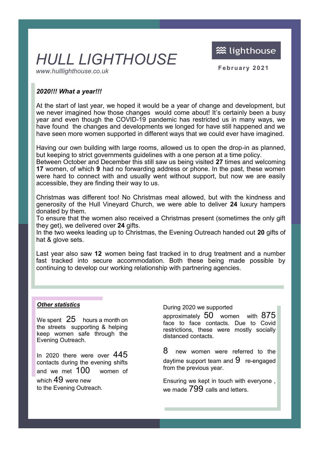**※ lighthouse** 

# *HULL LIGHTHOUSE*

www.hulllighthouse.co.uk **February 2021** 

### *2020!!! What a year!!!*

At the start of last year, we hoped it would be a year of change and development, but we never imagined how those changes would come about! It's certainly been a busy year and even though the COVID-19 pandemic has restricted us in many ways, we have found the changes and developments we longed for have still happened and we have seen more women supported in different ways that we could ever have imagined.

Having our own building with large rooms, allowed us to open the drop-in as planned, but keeping to strict governments guidelines with a one person at a time policy.

Between October and December this still saw us being visited **27** times and welcoming **17** women, of which **9** had no forwarding address or phone. In the past, these women were hard to connect with and usually went without support, but now we are easily accessible, they are finding their way to us.

Christmas was different too! No Christmas meal allowed, but with the kindness and generosity of the Hull Vineyard Church, we were able to deliver **24** luxury hampers donated by them.

To ensure that the women also received a Christmas present (sometimes the only gift they get), we delivered over **24** gifts.

In the two weeks leading up to Christmas, the Evening Outreach handed out **20** gifts of hat & glove sets.

Last year also saw **12** women being fast tracked in to drug treatment and a number fast tracked into secure accommodation. Both these being made possible by continuing to develop our working relationship with partnering agencies.

#### *Other statistics*

We spent  $25$  hours a month on the streets supporting & helping keep women safe through the Evening Outreach.

In 2020 there were over 445 contacts during the evening shifts and we met 100 women of which 49 were new to the Evening Outreach.

During 2020 we supported

approximately 50 women with 875 face to face contacts. Due to Covid restrictions, these were mostly socially distanced contacts.

8 new women were referred to the daytime support team and  $9$  re-engaged from the previous year.

Ensuring we kept in touch with everyone , we made  $799$  calls and letters.